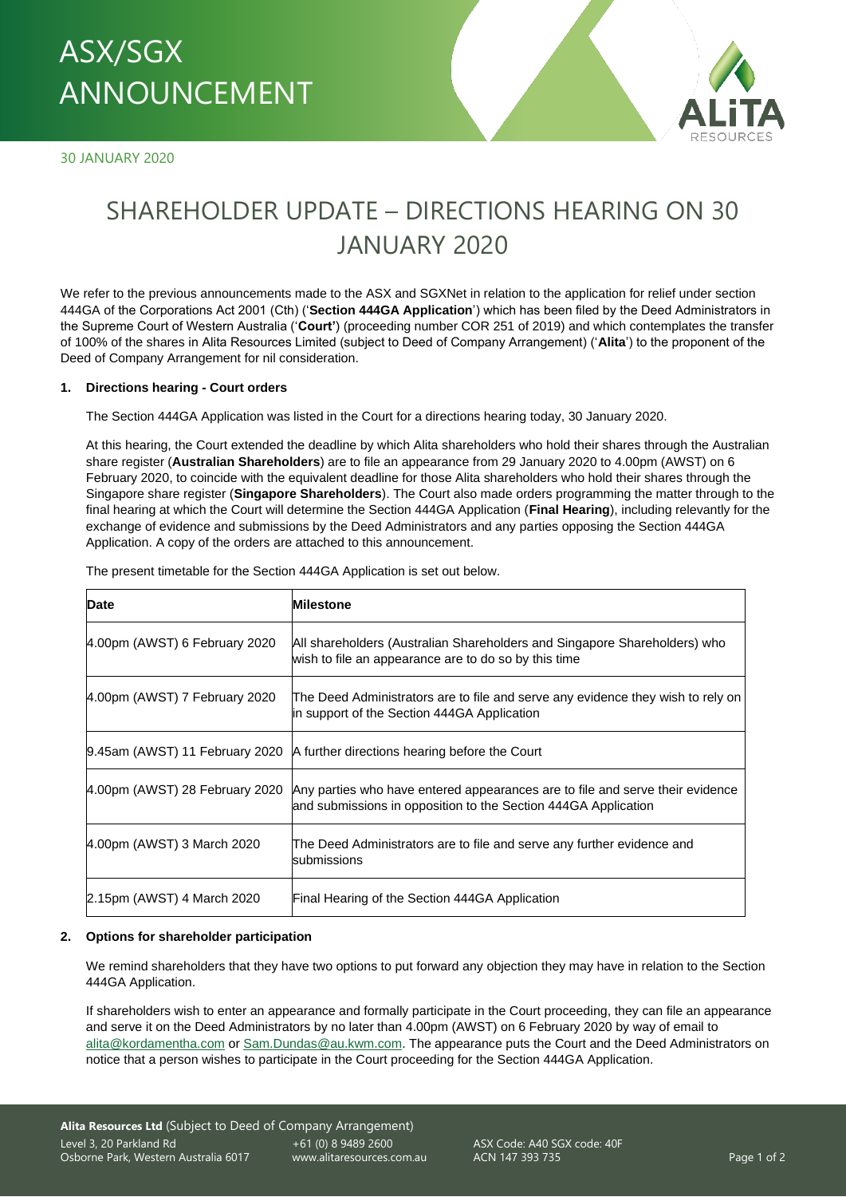# ASX/SGX – DIRECTIONS HEARING ON 30 JANUARY 2020 ANNOUNCEMENT

30 JANUARY 2020



# SHAREHOLDER UPDATE – DIRECTIONS HEARING ON 30 JANUARY 2020

We refer to the previous announcements made to the ASX and SGXNet in relation to the application for relief under section 444GA of the Corporations Act 2001 (Cth) ('**Section 444GA Application**') which has been filed by the Deed Administrators in the Supreme Court of Western Australia ('**Court'**) (proceeding number COR 251 of 2019) and which contemplates the transfer of 100% of the shares in Alita Resources Limited (subject to Deed of Company Arrangement) ('**Alita**') to the proponent of the Deed of Company Arrangement for nil consideration.

#### **1. Directions hearing - Court orders**

The Section 444GA Application was listed in the Court for a directions hearing today, 30 January 2020.

At this hearing, the Court extended the deadline by which Alita shareholders who hold their shares through the Australian share register (**Australian Shareholders**) are to file an appearance from 29 January 2020 to 4.00pm (AWST) on 6 February 2020, to coincide with the equivalent deadline for those Alita shareholders who hold their shares through the Singapore share register (**Singapore Shareholders**). The Court also made orders programming the matter through to the final hearing at which the Court will determine the Section 444GA Application (**Final Hearing**), including relevantly for the exchange of evidence and submissions by the Deed Administrators and any parties opposing the Section 444GA Application. A copy of the orders are attached to this announcement.

| <b>Date</b>                    | <b>Milestone</b>                                                                                                                                |
|--------------------------------|-------------------------------------------------------------------------------------------------------------------------------------------------|
| 4.00pm (AWST) 6 February 2020  | All shareholders (Australian Shareholders and Singapore Shareholders) who<br>wish to file an appearance are to do so by this time               |
| 4.00pm (AWST) 7 February 2020  | The Deed Administrators are to file and serve any evidence they wish to rely on<br>in support of the Section 444GA Application                  |
|                                | 9.45am (AWST) 11 February 2020 A further directions hearing before the Court                                                                    |
| 4.00pm (AWST) 28 February 2020 | Any parties who have entered appearances are to file and serve their evidence<br>and submissions in opposition to the Section 444GA Application |
| 4.00pm (AWST) 3 March 2020     | The Deed Administrators are to file and serve any further evidence and<br>submissions                                                           |
| 2.15pm (AWST) 4 March 2020     | Final Hearing of the Section 444GA Application                                                                                                  |

The present timetable for the Section 444GA Application is set out below.

#### **2. Options for shareholder participation**

We remind shareholders that they have two options to put forward any objection they may have in relation to the Section 444GA Application.

If shareholders wish to enter an appearance and formally participate in the Court proceeding, they can file an appearance and serve it on the Deed Administrators by no later than 4.00pm (AWST) on 6 February 2020 by way of email to [alita@kordamentha.com](mailto:alita@kordamentha.com) or [Sam.Dundas@au.kwm.com.](mailto:Sam.Dundas@au.kwm.com) The appearance puts the Court and the Deed Administrators on notice that a person wishes to participate in the Court proceeding for the Section 444GA Application.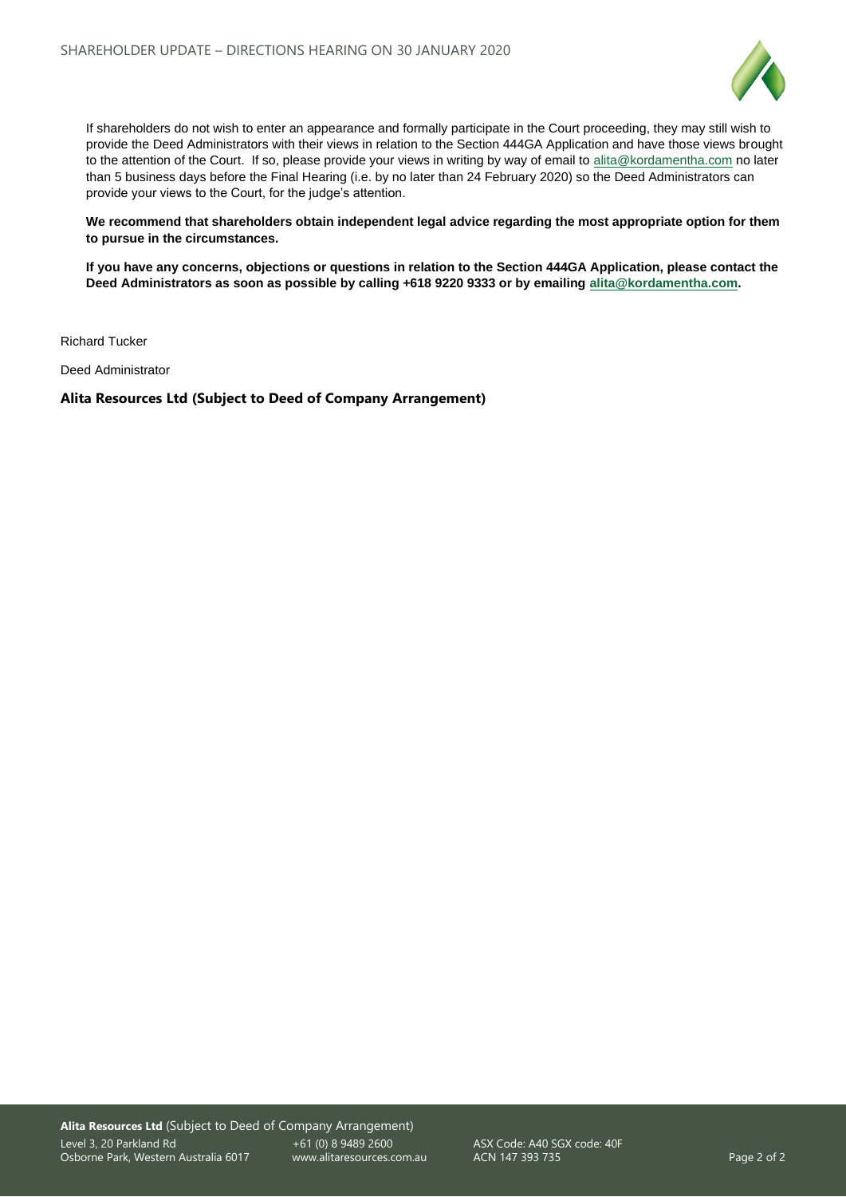

If shareholders do not wish to enter an appearance and formally participate in the Court proceeding, they may still wish to provide the Deed Administrators with their views in relation to the Section 444GA Application and have those views brought to the attention of the Court. If so, please provide your views in writing by way of email t[o alita@kordamentha.com](mailto:alita@kordamentha.com) no later than 5 business days before the Final Hearing (i.e. by no later than 24 February 2020) so the Deed Administrators can provide your views to the Court, for the judge's attention.

**We recommend that shareholders obtain independent legal advice regarding the most appropriate option for them to pursue in the circumstances.**

**If you have any concerns, objections or questions in relation to the Section 444GA Application, please contact the Deed Administrators as soon as possible by calling +618 9220 9333 or by emailing [alita@kordamentha.com.](mailto:alita@kordamentha.com)**

Richard Tucker

Deed Administrator

**Alita Resources Ltd (Subject to Deed of Company Arrangement)**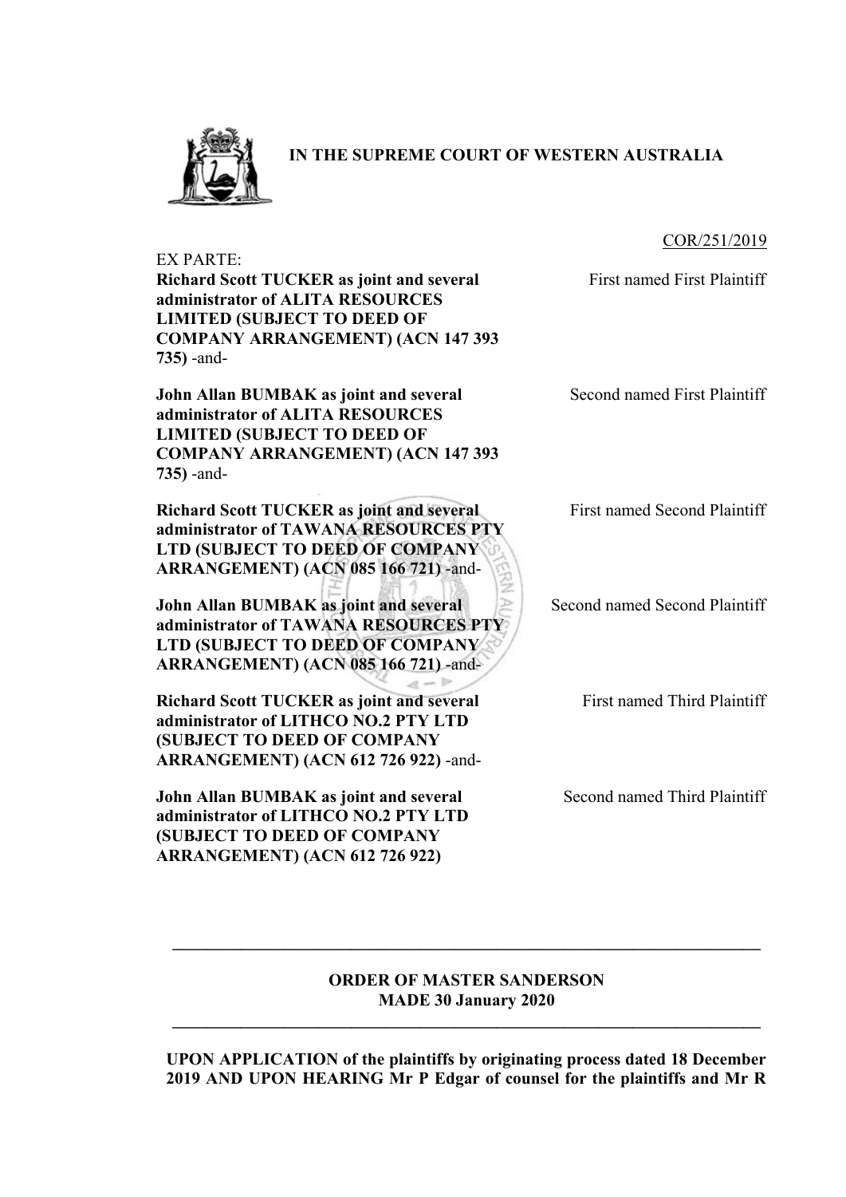

**IN THE SUPREME COURT OF WESTERN AUSTRALIA**

#### COR/251/2019

EX PARTE:

**Richard Scott TUCKER as joint and several administrator of ALITA RESOURCES LIMITED (SUBJECT TO DEED OF COMPANY ARRANGEMENT) (ACN 147 393 735)** -and-

**John Allan BUMBAK as joint and several administrator of ALITA RESOURCES LIMITED (SUBJECT TO DEED OF COMPANY ARRANGEMENT) (ACN 147 393 735)** -and-

**Richard Scott TUCKER as joint and several administrator of TAWANA RESOURCES PTY LTD (SUBJECT TO DEED OF COMPANY ARRANGEMENT) (ACN 085 166 721)** -and-

**John Allan BUMBAK as joint and several administrator of TAWANA RESOURCES PTY LTD (SUBJECT TO DEED OF COMPANY ARRANGEMENT) (ACN 085 166 721)** -and-

**Richard Scott TUCKER as joint and several administrator of LITHCO NO.2 PTY LTD (SUBJECT TO DEED OF COMPANY ARRANGEMENT) (ACN 612 726 922)** -and-

**John Allan BUMBAK as joint and several administrator of LITHCO NO.2 PTY LTD (SUBJECT TO DEED OF COMPANY ARRANGEMENT) (ACN 612 726 922)**

First named First Plaintiff

Second named First Plaintiff

First named Second Plaintiff

Second named Second Plaintiff

First named Third Plaintiff

Second named Third Plaintiff

### **ORDER OF MASTER SANDERSON MADE 30 January 2020**

**\_\_\_\_\_\_\_\_\_\_\_\_\_\_\_\_\_\_\_\_\_\_\_\_\_\_\_\_\_\_\_\_\_\_\_\_\_\_\_\_\_\_\_\_\_\_\_\_\_\_\_\_\_\_\_\_\_\_\_\_\_\_\_\_\_\_\_\_\_** 

 $\mathcal{L} = \{ \mathcal{L} \mathcal{L} \mathcal{L} \mathcal{L} \mathcal{L} \mathcal{L} \mathcal{L} \mathcal{L} \mathcal{L} \mathcal{L} \mathcal{L} \mathcal{L} \mathcal{L} \mathcal{L} \mathcal{L} \mathcal{L} \mathcal{L} \mathcal{L} \mathcal{L} \mathcal{L} \mathcal{L} \mathcal{L} \mathcal{L} \mathcal{L} \mathcal{L} \mathcal{L} \mathcal{L} \mathcal{L} \mathcal{L} \mathcal{L} \mathcal{L} \mathcal{L} \mathcal{L} \mathcal{L} \mathcal{L} \$ 

 $a - b$ 

**UPON APPLICATION of the plaintiffs by originating process dated 18 December 2019 AND UPON HEARING Mr P Edgar of counsel for the plaintiffs and Mr R**